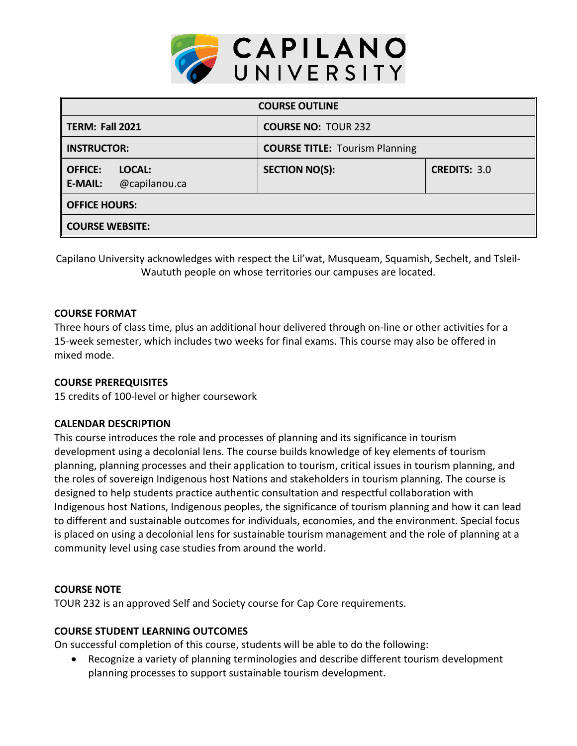

| <b>COURSE OUTLINE</b>                                       |                                       |                     |  |  |  |
|-------------------------------------------------------------|---------------------------------------|---------------------|--|--|--|
| TERM: Fall 2021                                             | <b>COURSE NO: TOUR 232</b>            |                     |  |  |  |
| <b>INSTRUCTOR:</b>                                          | <b>COURSE TITLE: Tourism Planning</b> |                     |  |  |  |
| <b>OFFICE:</b><br>LOCAL:<br>@capilanou.ca<br><b>E-MAIL:</b> | <b>SECTION NO(S):</b>                 | <b>CREDITS: 3.0</b> |  |  |  |
| <b>OFFICE HOURS:</b>                                        |                                       |                     |  |  |  |
| <b>COURSE WEBSITE:</b>                                      |                                       |                     |  |  |  |

Capilano University acknowledges with respect the Lil'wat, Musqueam, Squamish, Sechelt, and Tsleil-Waututh people on whose territories our campuses are located.

# **COURSE FORMAT**

Three hours of class time, plus an additional hour delivered through on-line or other activities for a 15-week semester, which includes two weeks for final exams. This course may also be offered in mixed mode.

# **COURSE PREREQUISITES**

15 credits of 100-level or higher coursework

# **CALENDAR DESCRIPTION**

This course introduces the role and processes of planning and its significance in tourism development using a decolonial lens. The course builds knowledge of key elements of tourism planning, planning processes and their application to tourism, critical issues in tourism planning, and the roles of sovereign Indigenous host Nations and stakeholders in tourism planning. The course is designed to help students practice authentic consultation and respectful collaboration with Indigenous host Nations, Indigenous peoples, the significance of tourism planning and how it can lead to different and sustainable outcomes for individuals, economies, and the environment. Special focus is placed on using a decolonial lens for sustainable tourism management and the role of planning at a community level using case studies from around the world.

# **COURSE NOTE**

TOUR 232 is an approved Self and Society course for Cap Core requirements.

# **COURSE STUDENT LEARNING OUTCOMES**

On successful completion of this course, students will be able to do the following:

• Recognize a variety of planning terminologies and describe different tourism development planning processes to support sustainable tourism development.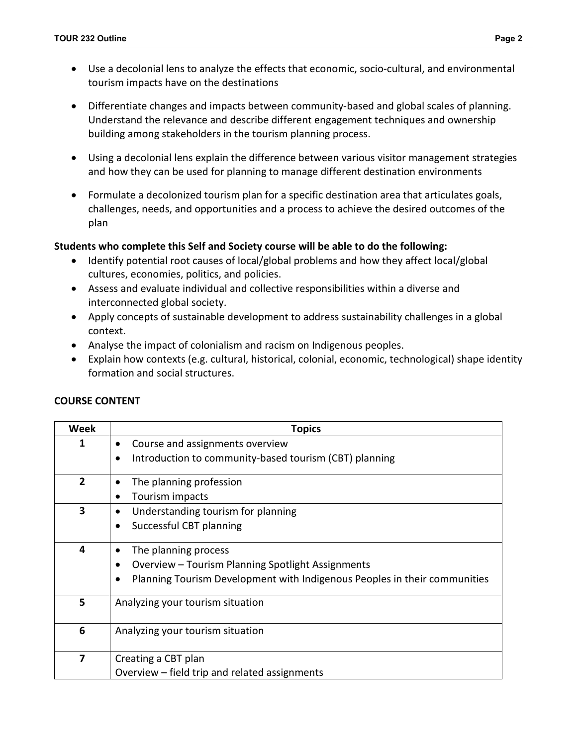- Use a decolonial lens to analyze the effects that economic, socio-cultural, and environmental tourism impacts have on the destinations
- Differentiate changes and impacts between community-based and global scales of planning. Understand the relevance and describe different engagement techniques and ownership building among stakeholders in the tourism planning process.
- Using a decolonial lens explain the difference between various visitor management strategies and how they can be used for planning to manage different destination environments
- Formulate a decolonized tourism plan for a specific destination area that articulates goals, challenges, needs, and opportunities and a process to achieve the desired outcomes of the plan

### **Students who complete this Self and Society course will be able to do the following:**

- Identify potential root causes of local/global problems and how they affect local/global cultures, economies, politics, and policies.
- Assess and evaluate individual and collective responsibilities within a diverse and interconnected global society.
- Apply concepts of sustainable development to address sustainability challenges in a global context.
- Analyse the impact of colonialism and racism on Indigenous peoples.
- Explain how contexts (e.g. cultural, historical, colonial, economic, technological) shape identity formation and social structures.

| Week                    | <b>Topics</b>                                                             |  |  |  |  |
|-------------------------|---------------------------------------------------------------------------|--|--|--|--|
| 1                       | Course and assignments overview                                           |  |  |  |  |
|                         | Introduction to community-based tourism (CBT) planning                    |  |  |  |  |
| $\overline{2}$          | The planning profession                                                   |  |  |  |  |
|                         | Tourism impacts                                                           |  |  |  |  |
| $\overline{\mathbf{3}}$ | Understanding tourism for planning                                        |  |  |  |  |
|                         | Successful CBT planning                                                   |  |  |  |  |
| 4                       | The planning process                                                      |  |  |  |  |
|                         | Overview - Tourism Planning Spotlight Assignments                         |  |  |  |  |
|                         | Planning Tourism Development with Indigenous Peoples in their communities |  |  |  |  |
| 5                       | Analyzing your tourism situation                                          |  |  |  |  |
| 6                       | Analyzing your tourism situation                                          |  |  |  |  |
| 7                       | Creating a CBT plan                                                       |  |  |  |  |
|                         | Overview – field trip and related assignments                             |  |  |  |  |

# **COURSE CONTENT**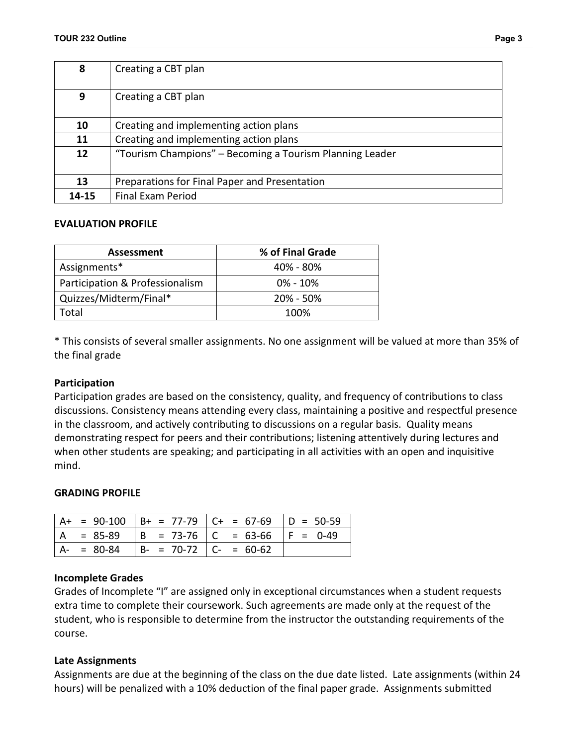| 8     | Creating a CBT plan                                      |  |
|-------|----------------------------------------------------------|--|
| 9     | Creating a CBT plan                                      |  |
| 10    | Creating and implementing action plans                   |  |
| 11    | Creating and implementing action plans                   |  |
| 12    | "Tourism Champions" - Becoming a Tourism Planning Leader |  |
| 13    | Preparations for Final Paper and Presentation            |  |
| 14-15 | <b>Final Exam Period</b>                                 |  |

#### **EVALUATION PROFILE**

| Assessment                      | % of Final Grade |  |
|---------------------------------|------------------|--|
| Assignments*                    | $40\% - 80\%$    |  |
| Participation & Professionalism | $0\% - 10\%$     |  |
| Quizzes/Midterm/Final*          | $20\% - 50\%$    |  |
| otal.                           | 100%             |  |

\* This consists of several smaller assignments. No one assignment will be valued at more than 35% of the final grade

### **Participation**

Participation grades are based on the consistency, quality, and frequency of contributions to class discussions. Consistency means attending every class, maintaining a positive and respectful presence in the classroom, and actively contributing to discussions on a regular basis. Quality means demonstrating respect for peers and their contributions; listening attentively during lectures and when other students are speaking; and participating in all activities with an open and inquisitive mind.

#### **GRADING PROFILE**

|               |                                             | $  A + = 90-100   B+ = 77-79   C+ = 67-69   D = 50-59$ |  |
|---------------|---------------------------------------------|--------------------------------------------------------|--|
|               |                                             | $= 85-89$  B = 73-76  C = 63-66  F = 0-49              |  |
| $A - = 80-84$ | $\vert B - 70 - 72 \vert C - 60 - 62 \vert$ |                                                        |  |

#### **Incomplete Grades**

Grades of Incomplete "I" are assigned only in exceptional circumstances when a student requests extra time to complete their coursework. Such agreements are made only at the request of the student, who is responsible to determine from the instructor the outstanding requirements of the course.

# **Late Assignments**

Assignments are due at the beginning of the class on the due date listed. Late assignments (within 24 hours) will be penalized with a 10% deduction of the final paper grade. Assignments submitted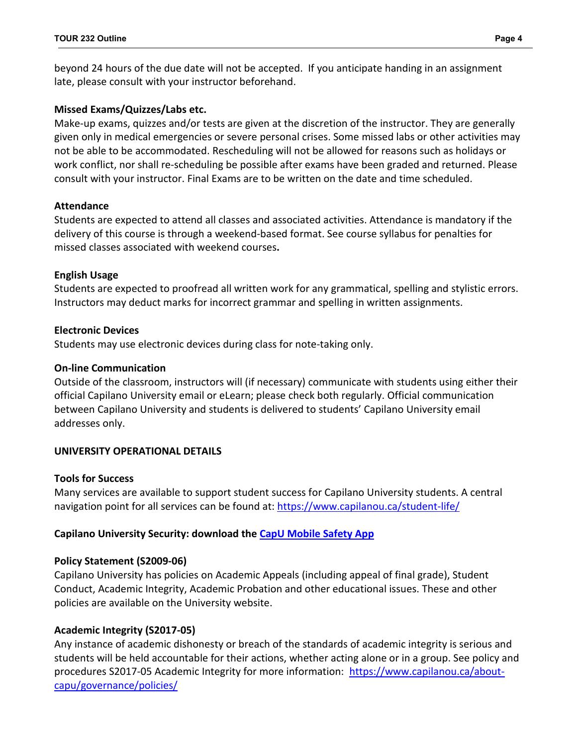beyond 24 hours of the due date will not be accepted. If you anticipate handing in an assignment late, please consult with your instructor beforehand.

### **Missed Exams/Quizzes/Labs etc.**

Make-up exams, quizzes and/or tests are given at the discretion of the instructor. They are generally given only in medical emergencies or severe personal crises. Some missed labs or other activities may not be able to be accommodated. Rescheduling will not be allowed for reasons such as holidays or work conflict, nor shall re-scheduling be possible after exams have been graded and returned. Please consult with your instructor. Final Exams are to be written on the date and time scheduled.

#### **Attendance**

Students are expected to attend all classes and associated activities. Attendance is mandatory if the delivery of this course is through a weekend-based format. See course syllabus for penalties for missed classes associated with weekend courses**.**

### **English Usage**

Students are expected to proofread all written work for any grammatical, spelling and stylistic errors. Instructors may deduct marks for incorrect grammar and spelling in written assignments.

### **Electronic Devices**

Students may use electronic devices during class for note-taking only.

### **On-line Communication**

Outside of the classroom, instructors will (if necessary) communicate with students using either their official Capilano University email or eLearn; please check both regularly. Official communication between Capilano University and students is delivered to students' Capilano University email addresses only.

# **UNIVERSITY OPERATIONAL DETAILS**

#### **Tools for Success**

Many services are available to support student success for Capilano University students. A central navigation point for all services can be found at:<https://www.capilanou.ca/student-life/>

# **Capilano University Security: download the [CapU Mobile Safety App](https://www.capilanou.ca/student-life/support--wellness/safety--security/capu-safe-app/)**

#### **Policy Statement (S2009-06)**

Capilano University has policies on Academic Appeals (including appeal of final grade), Student Conduct, Academic Integrity, Academic Probation and other educational issues. These and other policies are available on the University website.

#### **Academic Integrity (S2017-05)**

Any instance of academic dishonesty or breach of the standards of academic integrity is serious and students will be held accountable for their actions, whether acting alone or in a group. See policy and procedures S2017-05 Academic Integrity for more information: [https://www.capilanou.ca/about](https://www.capilanou.ca/about-capu/governance/policies/)[capu/governance/policies/](https://www.capilanou.ca/about-capu/governance/policies/)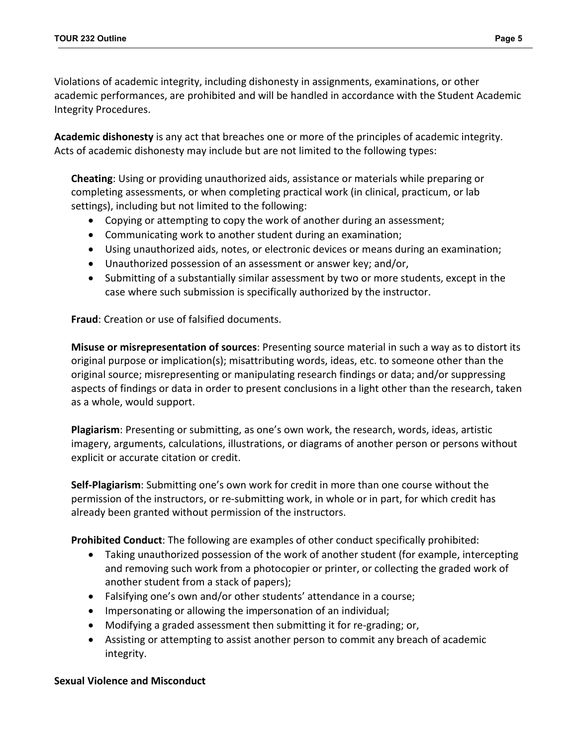Violations of academic integrity, including dishonesty in assignments, examinations, or other academic performances, are prohibited and will be handled in accordance with the Student Academic Integrity Procedures.

**Academic dishonesty** is any act that breaches one or more of the principles of academic integrity. Acts of academic dishonesty may include but are not limited to the following types:

**Cheating**: Using or providing unauthorized aids, assistance or materials while preparing or completing assessments, or when completing practical work (in clinical, practicum, or lab settings), including but not limited to the following:

- Copying or attempting to copy the work of another during an assessment;
- Communicating work to another student during an examination;
- Using unauthorized aids, notes, or electronic devices or means during an examination;
- Unauthorized possession of an assessment or answer key; and/or,
- Submitting of a substantially similar assessment by two or more students, except in the case where such submission is specifically authorized by the instructor.

**Fraud**: Creation or use of falsified documents.

**Misuse or misrepresentation of sources**: Presenting source material in such a way as to distort its original purpose or implication(s); misattributing words, ideas, etc. to someone other than the original source; misrepresenting or manipulating research findings or data; and/or suppressing aspects of findings or data in order to present conclusions in a light other than the research, taken as a whole, would support.

**Plagiarism**: Presenting or submitting, as one's own work, the research, words, ideas, artistic imagery, arguments, calculations, illustrations, or diagrams of another person or persons without explicit or accurate citation or credit.

**Self-Plagiarism**: Submitting one's own work for credit in more than one course without the permission of the instructors, or re-submitting work, in whole or in part, for which credit has already been granted without permission of the instructors.

**Prohibited Conduct**: The following are examples of other conduct specifically prohibited:

- Taking unauthorized possession of the work of another student (for example, intercepting and removing such work from a photocopier or printer, or collecting the graded work of another student from a stack of papers);
- Falsifying one's own and/or other students' attendance in a course;
- Impersonating or allowing the impersonation of an individual;
- Modifying a graded assessment then submitting it for re-grading; or,
- Assisting or attempting to assist another person to commit any breach of academic integrity.

# **Sexual Violence and Misconduct**